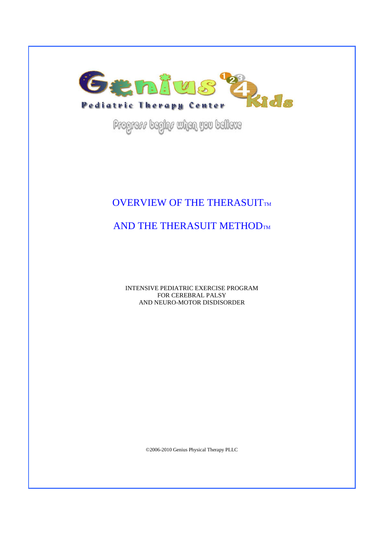

Progress begins when you believe

## OVERVIEW OF THE THERASUITTM

# AND THE THERASUIT METHODTM

INTENSIVE PEDIATRIC EXERCISE PROGRAM FOR CEREBRAL PALSY AND NEURO-MOTOR DISDISORDER

©2006-2010 Genius Physical Therapy PLLC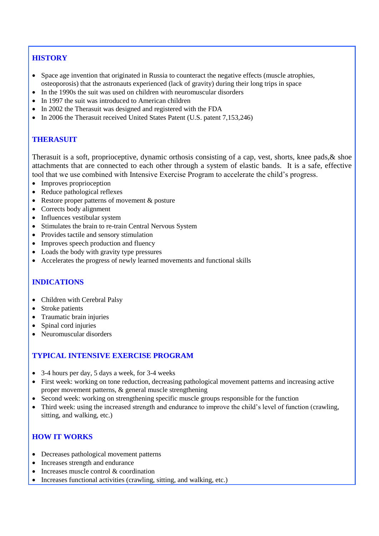## **HISTORY**

- Space age invention that originated in Russia to counteract the negative effects (muscle atrophies, osteoporosis) that the astronauts experienced (lack of gravity) during their long trips in space
- In the 1990s the suit was used on children with neuromuscular disorders
- In 1997 the suit was introduced to American children
- In 2002 the Therasuit was designed and registered with the FDA
- In 2006 the Therasuit received United States Patent (U.S. patent 7,153,246)

## **THERASUIT**

Therasuit is a soft, proprioceptive, dynamic orthosis consisting of a cap, vest, shorts, knee pads,& shoe attachments that are connected to each other through a system of elastic bands. It is a safe, effective tool that we use combined with Intensive Exercise Program to accelerate the child's progress.

- Improves proprioception
- Reduce pathological reflexes
- Restore proper patterns of movement & posture
- Corrects body alignment
- Influences vestibular system
- Stimulates the brain to re-train Central Nervous System
- Provides tactile and sensory stimulation
- Improves speech production and fluency
- Loads the body with gravity type pressures
- Accelerates the progress of newly learned movements and functional skills

## **INDICATIONS**

- Children with Cerebral Palsy
- Stroke patients
- Traumatic brain injuries
- Spinal cord injuries
- Neuromuscular disorders

## **TYPICAL INTENSIVE EXERCISE PROGRAM**

- 3-4 hours per day, 5 days a week, for 3-4 weeks
- First week: working on tone reduction, decreasing pathological movement patterns and increasing active proper movement patterns, & general muscle strengthening
- Second week: working on strengthening specific muscle groups responsible for the function
- Third week: using the increased strength and endurance to improve the child's level of function (crawling, sitting, and walking, etc.)

#### **HOW IT WORKS**

- Decreases pathological movement patterns
- Increases strength and endurance
- Increases muscle control & coordination
- Increases functional activities (crawling, sitting, and walking, etc.)